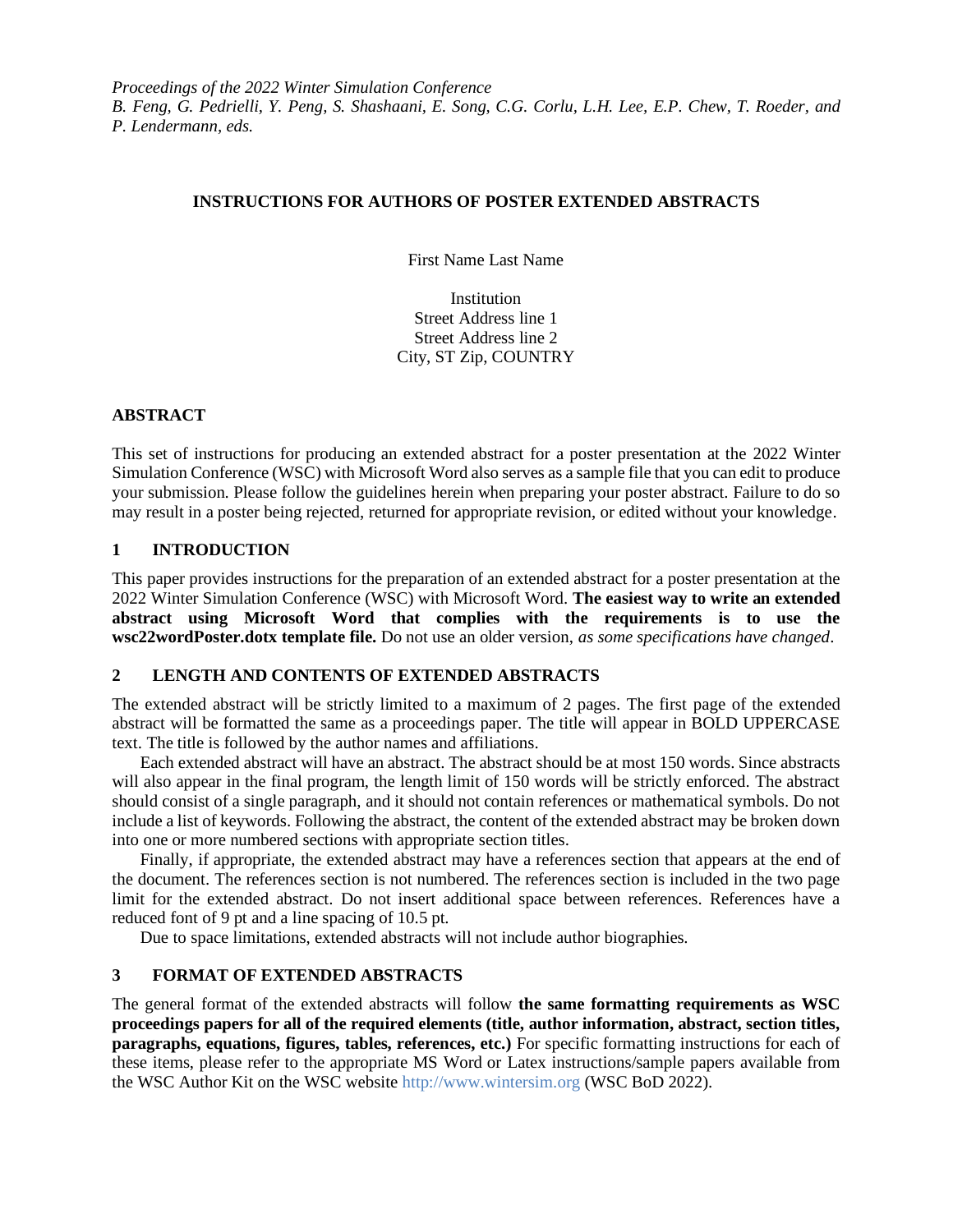*Proceedings of the 2022 Winter Simulation Conference B. Feng, G. Pedrielli, Y. Peng, S. Shashaani, E. Song, C.G. Corlu, L.H. Lee, E.P. Chew, T. Roeder, and P. Lendermann, eds.*

### **INSTRUCTIONS FOR AUTHORS OF POSTER EXTENDED ABSTRACTS**

First Name Last Name

Institution Street Address line 1 Street Address line 2 City, ST Zip, COUNTRY

# **ABSTRACT**

This set of instructions for producing an extended abstract for a poster presentation at the 2022 Winter Simulation Conference (WSC) with Microsoft Word also serves as a sample file that you can edit to produce your submission. Please follow the guidelines herein when preparing your poster abstract. Failure to do so may result in a poster being rejected, returned for appropriate revision, or edited without your knowledge.

### **1 INTRODUCTION**

This paper provides instructions for the preparation of an extended abstract for a poster presentation at the 2022 Winter Simulation Conference (WSC) with Microsoft Word. **The easiest way to write an extended abstract using Microsoft Word that complies with the requirements is to use the wsc22wordPoster.dotx template file.** Do not use an older version, *as some specifications have changed*.

### **2 LENGTH AND CONTENTS OF EXTENDED ABSTRACTS**

The extended abstract will be strictly limited to a maximum of 2 pages. The first page of the extended abstract will be formatted the same as a proceedings paper. The title will appear in BOLD UPPERCASE text. The title is followed by the author names and affiliations.

Each extended abstract will have an abstract. The abstract should be at most 150 words. Since abstracts will also appear in the final program, the length limit of 150 words will be strictly enforced. The abstract should consist of a single paragraph, and it should not contain references or mathematical symbols. Do not include a list of keywords. Following the abstract, the content of the extended abstract may be broken down into one or more numbered sections with appropriate section titles.

Finally, if appropriate, the extended abstract may have a references section that appears at the end of the document. The references section is not numbered. The references section is included in the two page limit for the extended abstract. Do not insert additional space between references. References have a reduced font of 9 pt and a line spacing of 10.5 pt.

Due to space limitations, extended abstracts will not include author biographies.

### **3 FORMAT OF EXTENDED ABSTRACTS**

The general format of the extended abstracts will follow **the same formatting requirements as WSC proceedings papers for all of the required elements (title, author information, abstract, section titles, paragraphs, equations, figures, tables, references, etc.)** For specific formatting instructions for each of these items, please refer to the appropriate MS Word or Latex instructions/sample papers available from the WSC Author Kit on the WSC website [http://www.wintersim.org](http://www.wintersim.org/) (WSC BoD 2022).